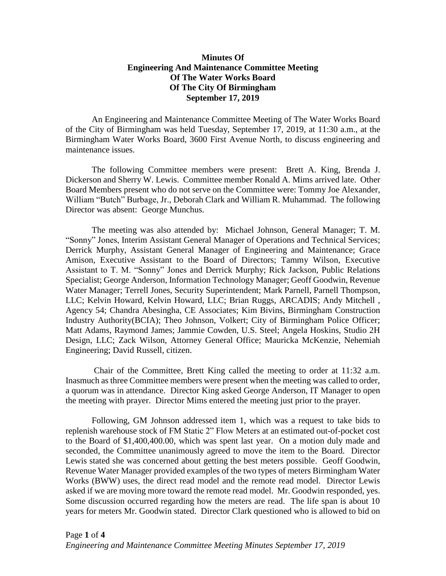## **Minutes Of Engineering And Maintenance Committee Meeting Of The Water Works Board Of The City Of Birmingham September 17, 2019**

An Engineering and Maintenance Committee Meeting of The Water Works Board of the City of Birmingham was held Tuesday, September 17, 2019, at 11:30 a.m., at the Birmingham Water Works Board, 3600 First Avenue North, to discuss engineering and maintenance issues.

The following Committee members were present: Brett A. King, Brenda J. Dickerson and Sherry W. Lewis. Committee member Ronald A. Mims arrived late. Other Board Members present who do not serve on the Committee were: Tommy Joe Alexander, William "Butch" Burbage, Jr., Deborah Clark and William R. Muhammad. The following Director was absent: George Munchus.

The meeting was also attended by: Michael Johnson, General Manager; T. M. "Sonny" Jones, Interim Assistant General Manager of Operations and Technical Services; Derrick Murphy, Assistant General Manager of Engineering and Maintenance; Grace Amison, Executive Assistant to the Board of Directors; Tammy Wilson, Executive Assistant to T. M. "Sonny" Jones and Derrick Murphy; Rick Jackson, Public Relations Specialist; George Anderson, Information Technology Manager; Geoff Goodwin, Revenue Water Manager; Terrell Jones, Security Superintendent; Mark Parnell, Parnell Thompson, LLC; Kelvin Howard, Kelvin Howard, LLC; Brian Ruggs, ARCADIS; Andy Mitchell , Agency 54; Chandra Abesingha, CE Associates; Kim Bivins, Birmingham Construction Industry Authority(BCIA); Theo Johnson, Volkert; City of Birmingham Police Officer; Matt Adams, Raymond James; Jammie Cowden, U.S. Steel; Angela Hoskins, Studio 2H Design, LLC; Zack Wilson, Attorney General Office; Mauricka McKenzie, Nehemiah Engineering; David Russell, citizen.

Chair of the Committee, Brett King called the meeting to order at 11:32 a.m. Inasmuch as three Committee members were present when the meeting was called to order, a quorum was in attendance. Director King asked George Anderson, IT Manager to open the meeting with prayer. Director Mims entered the meeting just prior to the prayer.

Following, GM Johnson addressed item 1, which was a request to take bids to replenish warehouse stock of FM Static 2" Flow Meters at an estimated out-of-pocket cost to the Board of \$1,400,400.00, which was spent last year. On a motion duly made and seconded, the Committee unanimously agreed to move the item to the Board. Director Lewis stated she was concerned about getting the best meters possible. Geoff Goodwin, Revenue Water Manager provided examples of the two types of meters Birmingham Water Works (BWW) uses, the direct read model and the remote read model. Director Lewis asked if we are moving more toward the remote read model. Mr. Goodwin responded, yes. Some discussion occurred regarding how the meters are read. The life span is about 10 years for meters Mr. Goodwin stated. Director Clark questioned who is allowed to bid on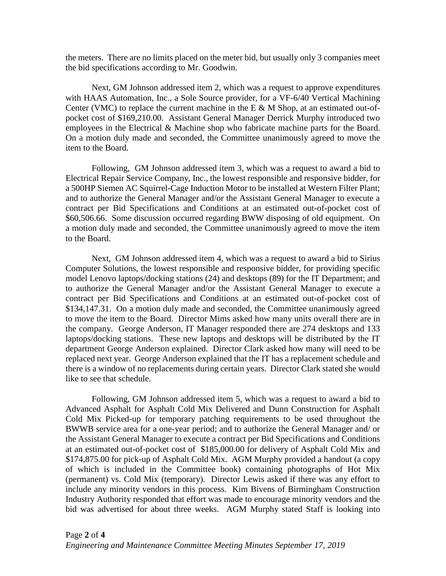the meters. There are no limits placed on the meter bid, but usually only 3 companies meet the bid specifications according to Mr. Goodwin.

Next, GM Johnson addressed item 2, which was a request to approve expenditures with HAAS Automation, Inc., a Sole Source provider, for a VF-6/40 Vertical Machining Center (VMC) to replace the current machine in the E  $\&$  M Shop, at an estimated out-ofpocket cost of \$169,210.00. Assistant General Manager Derrick Murphy introduced two employees in the Electrical & Machine shop who fabricate machine parts for the Board. On a motion duly made and seconded, the Committee unanimously agreed to move the item to the Board.

Following, GM Johnson addressed item 3, which was a request to award a bid to Electrical Repair Service Company, Inc., the lowest responsible and responsive bidder, for a 500HP Siemen AC Squirrel-Cage Induction Motor to be installed at Western Filter Plant; and to authorize the General Manager and/or the Assistant General Manager to execute a contract per Bid Specifications and Conditions at an estimated out-of-pocket cost of \$60,506.66. Some discussion occurred regarding BWW disposing of old equipment. On a motion duly made and seconded, the Committee unanimously agreed to move the item to the Board.

Next, GM Johnson addressed item 4, which was a request to award a bid to Sirius Computer Solutions, the lowest responsible and responsive bidder, for providing specific model Lenovo laptops/docking stations (24) and desktops (89) for the IT Department; and to authorize the General Manager and/or the Assistant General Manager to execute a contract per Bid Specifications and Conditions at an estimated out-of-pocket cost of \$134,147.31. On a motion duly made and seconded, the Committee unanimously agreed to move the item to the Board. Director Mims asked how many units overall there are in the company. George Anderson, IT Manager responded there are 274 desktops and 133 laptops/docking stations. These new laptops and desktops will be distributed by the IT department George Anderson explained. Director Clark asked how many will need to be replaced next year. George Anderson explained that the IT has a replacement schedule and there is a window of no replacements during certain years. Director Clark stated she would like to see that schedule.

Following, GM Johnson addressed item 5, which was a request to award a bid to Advanced Asphalt for Asphalt Cold Mix Delivered and Dunn Construction for Asphalt Cold Mix Picked-up for temporary patching requirements to be used throughout the BWWB service area for a one-year period; and to authorize the General Manager and/ or the Assistant General Manager to execute a contract per Bid Specifications and Conditions at an estimated out-of-pocket cost of \$185,000.00 for delivery of Asphalt Cold Mix and \$174,875.00 for pick-up of Asphalt Cold Mix. AGM Murphy provided a handout (a copy of which is included in the Committee book) containing photographs of Hot Mix (permanent) vs. Cold Mix (temporary). Director Lewis asked if there was any effort to include any minority vendors in this process. Kim Bivens of Birmingham Construction Industry Authority responded that effort was made to encourage minority vendors and the bid was advertised for about three weeks. AGM Murphy stated Staff is looking into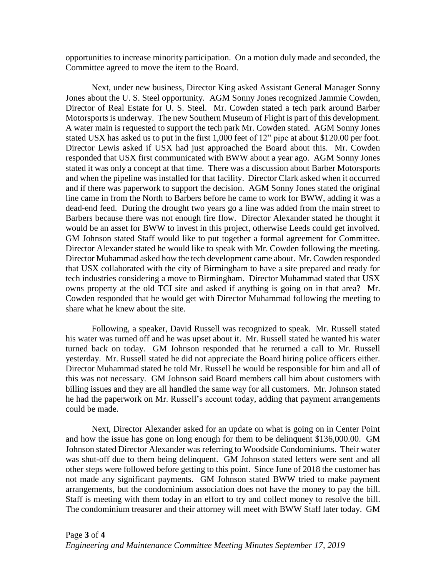opportunities to increase minority participation. On a motion duly made and seconded, the Committee agreed to move the item to the Board.

Next, under new business, Director King asked Assistant General Manager Sonny Jones about the U. S. Steel opportunity. AGM Sonny Jones recognized Jammie Cowden, Director of Real Estate for U. S. Steel. Mr. Cowden stated a tech park around Barber Motorsports is underway. The new Southern Museum of Flight is part of this development. A water main is requested to support the tech park Mr. Cowden stated. AGM Sonny Jones stated USX has asked us to put in the first 1,000 feet of 12" pipe at about \$120.00 per foot. Director Lewis asked if USX had just approached the Board about this. Mr. Cowden responded that USX first communicated with BWW about a year ago. AGM Sonny Jones stated it was only a concept at that time. There was a discussion about Barber Motorsports and when the pipeline was installed for that facility. Director Clark asked when it occurred and if there was paperwork to support the decision. AGM Sonny Jones stated the original line came in from the North to Barbers before he came to work for BWW, adding it was a dead-end feed. During the drought two years go a line was added from the main street to Barbers because there was not enough fire flow. Director Alexander stated he thought it would be an asset for BWW to invest in this project, otherwise Leeds could get involved. GM Johnson stated Staff would like to put together a formal agreement for Committee. Director Alexander stated he would like to speak with Mr. Cowden following the meeting. Director Muhammad asked how the tech development came about. Mr. Cowden responded that USX collaborated with the city of Birmingham to have a site prepared and ready for tech industries considering a move to Birmingham. Director Muhammad stated that USX owns property at the old TCI site and asked if anything is going on in that area? Mr. Cowden responded that he would get with Director Muhammad following the meeting to share what he knew about the site.

Following, a speaker, David Russell was recognized to speak. Mr. Russell stated his water was turned off and he was upset about it. Mr. Russell stated he wanted his water turned back on today. GM Johnson responded that he returned a call to Mr. Russell yesterday. Mr. Russell stated he did not appreciate the Board hiring police officers either. Director Muhammad stated he told Mr. Russell he would be responsible for him and all of this was not necessary. GM Johnson said Board members call him about customers with billing issues and they are all handled the same way for all customers. Mr. Johnson stated he had the paperwork on Mr. Russell's account today, adding that payment arrangements could be made.

Next, Director Alexander asked for an update on what is going on in Center Point and how the issue has gone on long enough for them to be delinquent \$136,000.00. GM Johnson stated Director Alexander was referring to Woodside Condominiums. Their water was shut-off due to them being delinquent. GM Johnson stated letters were sent and all other steps were followed before getting to this point. Since June of 2018 the customer has not made any significant payments. GM Johnson stated BWW tried to make payment arrangements, but the condominium association does not have the money to pay the bill. Staff is meeting with them today in an effort to try and collect money to resolve the bill. The condominium treasurer and their attorney will meet with BWW Staff later today. GM